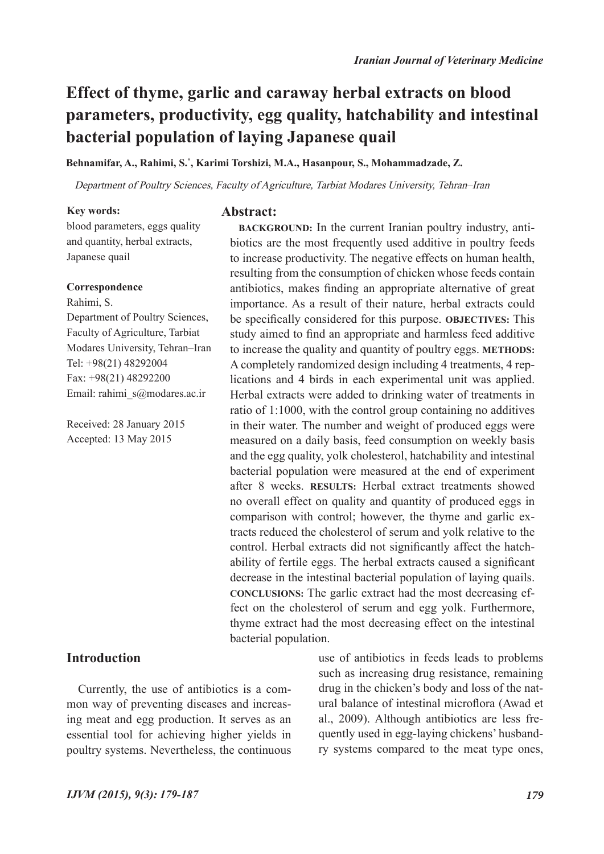**BACKGROUND:** In the current Iranian poultry industry, antibiotics are the most frequently used additive in poultry feeds to increase productivity. The negative effects on human health, resulting from the consumption of chicken whose feeds contain antibiotics, makes finding an appropriate alternative of great importance. As a result of their nature, herbal extracts could be specifically considered for this purpose. **OBJECTIVES:** This study aimed to find an appropriate and harmless feed additive to increase the quality and quantity of poultry eggs. **METHODS:**  A completely randomized design including 4 treatments, 4 replications and 4 birds in each experimental unit was applied. Herbal extracts were added to drinking water of treatments in ratio of 1:1000, with the control group containing no additives in their water. The number and weight of produced eggs were measured on a daily basis, feed consumption on weekly basis and the egg quality, yolk cholesterol, hatchability and intestinal bacterial population were measured at the end of experiment after 8 weeks. **RESULTS:** Herbal extract treatments showed no overall effect on quality and quantity of produced eggs in comparison with control; however, the thyme and garlic extracts reduced the cholesterol of serum and yolk relative to the control. Herbal extracts did not significantly affect the hatchability of fertile eggs. The herbal extracts caused a significant decrease in the intestinal bacterial population of laying quails. **CONCLUSIONS:** The garlic extract had the most decreasing effect on the cholesterol of serum and egg yolk. Furthermore, thyme extract had the most decreasing effect on the intestinal

# **Effect of thyme, garlic and caraway herbal extracts on blood parameters, productivity, egg quality, hatchability and intestinal bacterial population of laying Japanese quail**

**Behnamifar, A., Rahimi, S.\* , Karimi Torshizi, M.A., Hasanpour, S., Mohammadzade, Z.**

**Abstract:**

Department of Poultry Sciences, Faculty of Agriculture, Tarbiat Modares University, Tehran–Iran

bacterial population.

## **Key words:**

blood parameters, eggs quality and quantity, herbal extracts, Japanese quail

#### **Correspondence**

Rahimi, S.

Department of Poultry Sciences, Faculty of Agriculture, Tarbiat Modares University, Tehran–Iran Tel: +98(21) 48292004 Fax: +98(21) 48292200 Email: rahimi\_s@modares.ac.ir

Received: 28 January 2015 Accepted: 13 May 2015

## **Introduction**

Currently, the use of antibiotics is a common way of preventing diseases and increasing meat and egg production. It serves as an essential tool for achieving higher yields in poultry systems. Nevertheless, the continuous

use of antibiotics in feeds leads to problems such as increasing drug resistance, remaining drug in the chicken's body and loss of the natural balance of intestinal microflora (Awad et al., 2009). Although antibiotics are less frequently used in egg-laying chickens' husbandry systems compared to the meat type ones,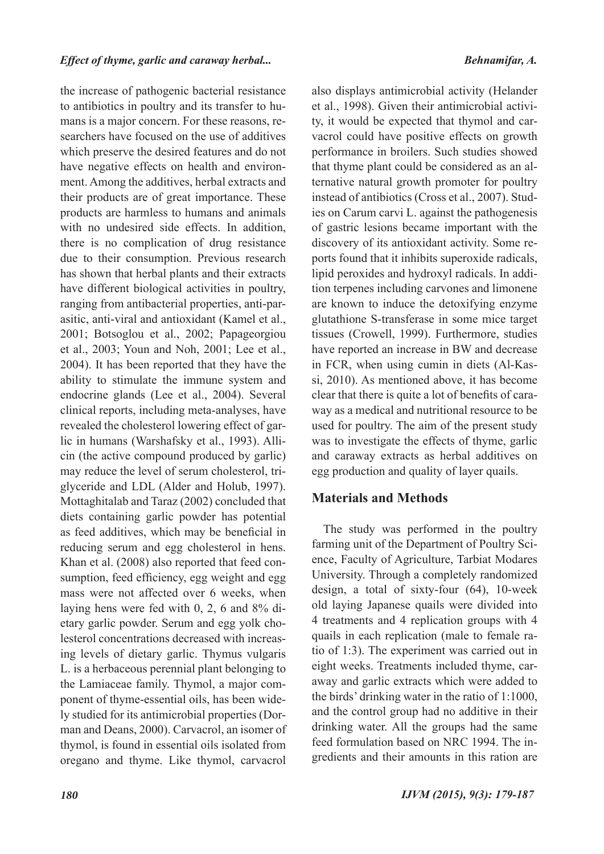the increase of pathogenic bacterial resistance to antibiotics in poultry and its transfer to humans is a major concern. For these reasons, researchers have focused on the use of additives which preserve the desired features and do not have negative effects on health and environment. Among the additives, herbal extracts and their products are of great importance. These products are harmless to humans and animals with no undesired side effects. In addition, there is no complication of drug resistance due to their consumption. Previous research has shown that herbal plants and their extracts have different biological activities in poultry, ranging from antibacterial properties, anti-parasitic, anti-viral and antioxidant (Kamel et al., 2001; Botsoglou et al., 2002; Papageorgiou et al., 2003; Youn and Noh, 2001; Lee et al., 2004). It has been reported that they have the ability to stimulate the immune system and endocrine glands (Lee et al., 2004). Several clinical reports, including meta-analyses, have revealed the cholesterol lowering effect of garlic in humans (Warshafsky et al., 1993). Allicin (the active compound produced by garlic) may reduce the level of serum cholesterol, triglyceride and LDL (Alder and Holub, 1997). Mottaghitalab and Taraz (2002) concluded that diets containing garlic powder has potential as feed additives, which may be beneficial in reducing serum and egg cholesterol in hens. Khan et al. (2008) also reported that feed consumption, feed efficiency, egg weight and egg mass were not affected over 6 weeks, when laying hens were fed with 0, 2, 6 and 8% dietary garlic powder. Serum and egg yolk cholesterol concentrations decreased with increasing levels of dietary garlic. Thymus vulgaris L. is a herbaceous perennial plant belonging to the Lamiaceae family. Thymol, a major component of thyme-essential oils, has been widely studied for its antimicrobial properties (Dorman and Deans, 2000). Carvacrol, an isomer of thymol, is found in essential oils isolated from oregano and thyme. Like thymol, carvacrol

also displays antimicrobial activity (Helander et al., 1998). Given their antimicrobial activity, it would be expected that thymol and carvacrol could have positive effects on growth performance in broilers. Such studies showed that thyme plant could be considered as an alternative natural growth promoter for poultry instead of antibiotics (Cross et al., 2007). Studies on Carum carvi L. against the pathogenesis of gastric lesions became important with the discovery of its antioxidant activity. Some reports found that it inhibits superoxide radicals, lipid peroxides and hydroxyl radicals. In addition terpenes including carvones and limonene are known to induce the detoxifying enzyme glutathione S-transferase in some mice target tissues (Crowell, 1999). Furthermore, studies have reported an increase in BW and decrease in FCR, when using cumin in diets (Al-Kassi, 2010). As mentioned above, it has become clear that there is quite a lot of benefits of caraway as a medical and nutritional resource to be used for poultry. The aim of the present study was to investigate the effects of thyme, garlic and caraway extracts as herbal additives on egg production and quality of layer quails.

## **Materials and Methods**

The study was performed in the poultry farming unit of the Department of Poultry Science, Faculty of Agriculture, Tarbiat Modares University. Through a completely randomized design, a total of sixty-four (64), 10-week old laying Japanese quails were divided into 4 treatments and 4 replication groups with 4 quails in each replication (male to female ratio of 1:3). The experiment was carried out in eight weeks. Treatments included thyme, caraway and garlic extracts which were added to the birds' drinking water in the ratio of 1:1000, and the control group had no additive in their drinking water. All the groups had the same feed formulation based on NRC 1994. The ingredients and their amounts in this ration are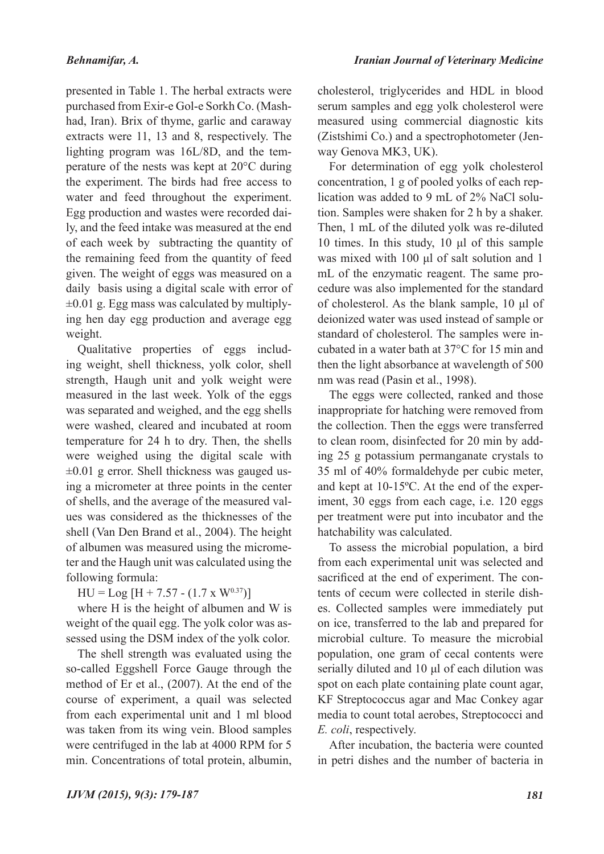presented in Table 1. The herbal extracts were purchased from Exir-e Gol-e Sorkh Co. (Mashhad, Iran). Brix of thyme, garlic and caraway extracts were 11, 13 and 8, respectively. The lighting program was 16L/8D, and the temperature of the nests was kept at 20°C during the experiment. The birds had free access to water and feed throughout the experiment. Egg production and wastes were recorded daily, and the feed intake was measured at the end of each week by subtracting the quantity of the remaining feed from the quantity of feed given. The weight of eggs was measured on a daily basis using a digital scale with error of  $\pm 0.01$  g. Egg mass was calculated by multiplying hen day egg production and average egg weight.

Qualitative properties of eggs including weight, shell thickness, yolk color, shell strength, Haugh unit and yolk weight were measured in the last week. Yolk of the eggs was separated and weighed, and the egg shells were washed, cleared and incubated at room temperature for 24 h to dry. Then, the shells were weighed using the digital scale with  $\pm 0.01$  g error. Shell thickness was gauged using a micrometer at three points in the center of shells, and the average of the measured values was considered as the thicknesses of the shell (Van Den Brand et al., 2004). The height of albumen was measured using the micrometer and the Haugh unit was calculated using the following formula:

 $HU = Log [H + 7.57 - (1.7 \times W^{0.37})]$ 

where H is the height of albumen and W is weight of the quail egg. The yolk color was assessed using the DSM index of the yolk color.

The shell strength was evaluated using the so-called Eggshell Force Gauge through the method of Er et al., (2007). At the end of the course of experiment, a quail was selected from each experimental unit and 1 ml blood was taken from its wing vein. Blood samples were centrifuged in the lab at 4000 RPM for 5 min. Concentrations of total protein, albumin,

cholesterol, triglycerides and HDL in blood serum samples and egg yolk cholesterol were measured using commercial diagnostic kits (Zistshimi Co.) and a spectrophotometer (Jenway Genova MK3, UK).

For determination of egg yolk cholesterol concentration, 1 g of pooled yolks of each replication was added to 9 mL of 2% NaCl solution. Samples were shaken for 2 h by a shaker. Then, 1 mL of the diluted yolk was re-diluted 10 times. In this study, 10 μl of this sample was mixed with 100 μl of salt solution and 1 mL of the enzymatic reagent. The same procedure was also implemented for the standard of cholesterol. As the blank sample, 10 μl of deionized water was used instead of sample or standard of cholesterol. The samples were incubated in a water bath at 37°C for 15 min and then the light absorbance at wavelength of 500 nm was read (Pasin et al., 1998).

The eggs were collected, ranked and those inappropriate for hatching were removed from the collection. Then the eggs were transferred to clean room, disinfected for 20 min by adding 25 g potassium permanganate crystals to 35 ml of 40% formaldehyde per cubic meter, and kept at 10-15ºC. At the end of the experiment, 30 eggs from each cage, i.e. 120 eggs per treatment were put into incubator and the hatchability was calculated.

To assess the microbial population, a bird from each experimental unit was selected and sacrificed at the end of experiment. The contents of cecum were collected in sterile dishes. Collected samples were immediately put on ice, transferred to the lab and prepared for microbial culture. To measure the microbial population, one gram of cecal contents were serially diluted and 10 μl of each dilution was spot on each plate containing plate count agar, KF Streptococcus agar and Mac Conkey agar media to count total aerobes, Streptococci and *E. coli*, respectively.

After incubation, the bacteria were counted in petri dishes and the number of bacteria in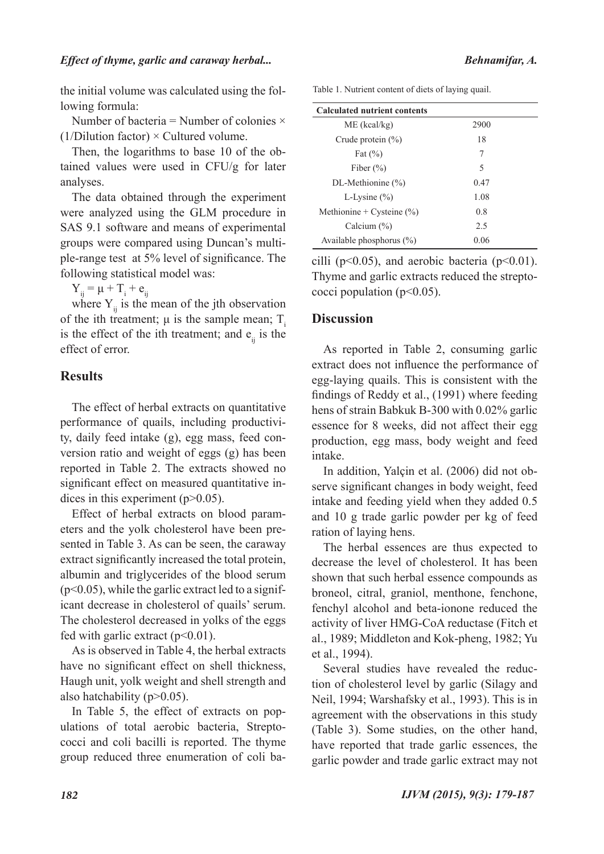the initial volume was calculated using the following formula:

Number of bacteria = Number of colonies  $\times$ (1/Dilution factor)  $\times$  Cultured volume.

Then, the logarithms to base 10 of the obtained values were used in CFU/g for later analyses.

The data obtained through the experiment were analyzed using the GLM procedure in SAS 9.1 software and means of experimental groups were compared using Duncan's multiple-range test at 5% level of significance. The following statistical model was:

 $Y_{ij} = \mu + T_i + e_{ij}$ 

where  $Y_{ii}$  is the mean of the jth observation of the ith treatment;  $\mu$  is the sample mean; T<sub>i</sub> is the effect of the ith treatment; and  $e_{ii}$  is the effect of error.

# **Results**

The effect of herbal extracts on quantitative performance of quails, including productivity, daily feed intake (g), egg mass, feed conversion ratio and weight of eggs (g) has been reported in Table 2. The extracts showed no significant effect on measured quantitative indices in this experiment  $(p>0.05)$ .

Effect of herbal extracts on blood parameters and the yolk cholesterol have been presented in Table 3. As can be seen, the caraway extract significantly increased the total protein, albumin and triglycerides of the blood serum (p<0.05), while the garlic extract led to a significant decrease in cholesterol of quails' serum. The cholesterol decreased in yolks of the eggs fed with garlic extract  $(p<0.01)$ .

As is observed in Table 4, the herbal extracts have no significant effect on shell thickness, Haugh unit, yolk weight and shell strength and also hatchability ( $p > 0.05$ ).

In Table 5, the effect of extracts on populations of total aerobic bacteria, Streptococci and coli bacilli is reported. The thyme group reduced three enumeration of coli ba-

| Table 1. Nutrient content of diets of laying quail. |  |  |  |
|-----------------------------------------------------|--|--|--|
|-----------------------------------------------------|--|--|--|

| <b>Calculated nutrient contents</b> |      |
|-------------------------------------|------|
| $ME$ (kcal/kg)                      | 2900 |
| Crude protein $(\% )$               | 18   |
| Fat $(\% )$                         | 7    |
| Fiber $(\% )$                       | 5    |
| DL-Methionine $(\% )$               | 0.47 |
| L-Lysine $(\% )$                    | 1.08 |
| Methionine + Cysteine $(\% )$       | 0.8  |
| Calcium $(\%)$                      | 2.5  |
| Available phosphorus $(\%)$         | 0.06 |

cilli ( $p<0.05$ ), and aerobic bacteria ( $p<0.01$ ). Thyme and garlic extracts reduced the streptococci population ( $p<0.05$ ).

# **Discussion**

As reported in Table 2, consuming garlic extract does not influence the performance of egg-laying quails. This is consistent with the findings of Reddy et al., (1991) where feeding hens of strain Babkuk B-300 with 0.02% garlic essence for 8 weeks, did not affect their egg production, egg mass, body weight and feed intake.

In addition, Yalçin et al. (2006) did not observe significant changes in body weight, feed intake and feeding yield when they added 0.5 and 10 g trade garlic powder per kg of feed ration of laying hens.

The herbal essences are thus expected to decrease the level of cholesterol. It has been shown that such herbal essence compounds as broneol, citral, graniol, menthone, fenchone, fenchyl alcohol and beta-ionone reduced the activity of liver HMG-CoA reductase (Fitch et al., 1989; Middleton and Kok-pheng, 1982; Yu et al., 1994).

Several studies have revealed the reduction of cholesterol level by garlic (Silagy and Neil, 1994; Warshafsky et al., 1993). This is in agreement with the observations in this study (Table 3). Some studies, on the other hand, have reported that trade garlic essences, the garlic powder and trade garlic extract may not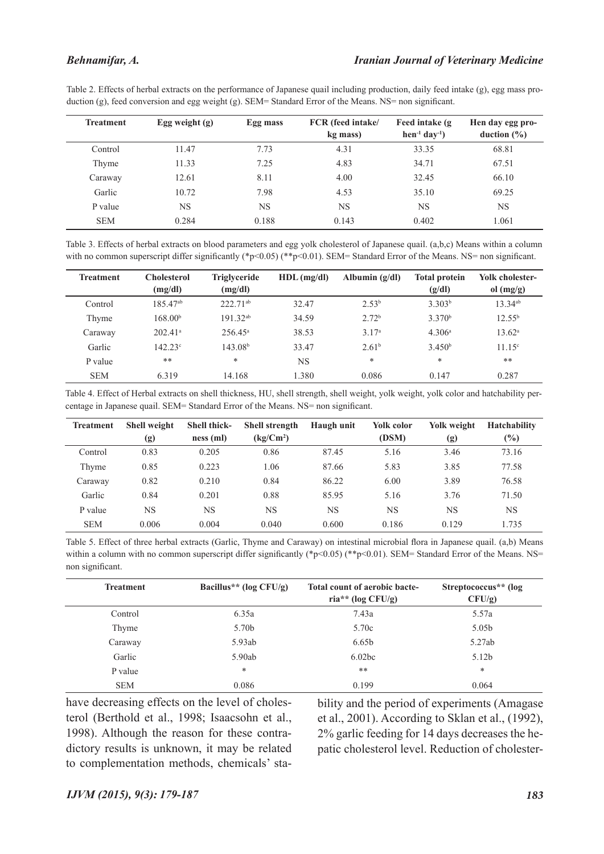#### *Behnamifar, A.*

Table 2. Effects of herbal extracts on the performance of Japanese quail including production, daily feed intake (g), egg mass production (g), feed conversion and egg weight (g). SEM= Standard Error of the Means. NS= non significant.

| <b>Treatment</b> | Egg weight $(g)$ | Egg mass  | FCR (feed intake/<br>kg mass) | Feed intake (g)<br>$hen^{-1} day^{-1}$ ) | Hen day egg pro-<br>duction $(\% )$ |
|------------------|------------------|-----------|-------------------------------|------------------------------------------|-------------------------------------|
| Control          | 11.47            | 7.73      | 4.31                          | 33.35                                    | 68.81                               |
| Thyme            | 11.33            | 7.25      | 4.83                          | 34.71                                    | 67.51                               |
| Caraway          | 12.61            | 8.11      | 4.00                          | 32.45                                    | 66.10                               |
| Garlic           | 10.72            | 7.98      | 4.53                          | 35.10                                    | 69.25                               |
| P value          | NS               | <b>NS</b> | <b>NS</b>                     | NS                                       | NS                                  |
| <b>SEM</b>       | 0.284            | 0.188     | 0.143                         | 0.402                                    | 1.061                               |

Table 3. Effects of herbal extracts on blood parameters and egg yolk cholesterol of Japanese quail. (a,b,c) Means within a column with no common superscript differ significantly (\*p<0.05) (\*\*p<0.01). SEM= Standard Error of the Means. NS= non significant.

| <b>Treatment</b> | <b>Cholesterol</b>    | <b>Triglyceride</b> | $HDL$ (mg/dl) | Albumin $(g/dl)$  | <b>Total protein</b> | Yolk cholester- |
|------------------|-----------------------|---------------------|---------------|-------------------|----------------------|-----------------|
|                  | (mg/dl)               | (mg/dl)             |               |                   | (g/dl)               | ol $(mg/g)$     |
| Control          | $185.47^{ab}$         | $222.71^{ab}$       | 32.47         | 2.53 <sup>b</sup> | 3.303 <sup>b</sup>   | $13.34^{ab}$    |
| Thyme            | 168.00 <sup>b</sup>   | $191.32^{ab}$       | 34.59         | 2.72 <sup>b</sup> | 3.370 <sup>b</sup>   | $12.55^{b}$     |
| Caraway          | $202.41$ <sup>a</sup> | $256.45^{\circ}$    | 38.53         | 3.17 <sup>a</sup> | 4.306 <sup>a</sup>   | $13.62^{\circ}$ |
| Garlic           | $142.23^{\circ}$      | 143.08 <sup>b</sup> | 33.47         | 2.61 <sup>b</sup> | 3.450 <sup>b</sup>   | $11.15^{\circ}$ |
| P value          | **                    | $\ast$              | <b>NS</b>     | $\ast$            | $\ast$               | **              |
| <b>SEM</b>       | 6.319                 | 14.168              | 1.380         | 0.086             | 0.147                | 0.287           |

Table 4. Effect of Herbal extracts on shell thickness, HU, shell strength, shell weight, yolk weight, yolk color and hatchability percentage in Japanese quail. SEM= Standard Error of the Means. NS= non significant.

| <b>Treatment</b> | <b>Shell weight</b><br>(g) | <b>Shell thick-</b><br>ness(ml) | <b>Shell strength</b><br>$(kg/Cm^2)$ | Haugh unit | Yolk color<br>(DSM) | Yolk weight<br>(g) | <b>Hatchability</b><br>$(\%)$ |
|------------------|----------------------------|---------------------------------|--------------------------------------|------------|---------------------|--------------------|-------------------------------|
| Control          | 0.83                       | 0.205                           | 0.86                                 | 87.45      | 5.16                | 3.46               | 73.16                         |
| Thyme            | 0.85                       | 0.223                           | 1.06                                 | 87.66      | 5.83                | 3.85               | 77.58                         |
| Caraway          | 0.82                       | 0.210                           | 0.84                                 | 86.22      | 6.00                | 3.89               | 76.58                         |
| Garlic           | 0.84                       | 0.201                           | 0.88                                 | 85.95      | 5.16                | 3.76               | 71.50                         |
| P value          | NS                         | NS                              | NS                                   | NS         | NS                  | NS                 | <b>NS</b>                     |
| <b>SEM</b>       | 0.006                      | 0.004                           | 0.040                                | 0.600      | 0.186               | 0.129              | 1.735                         |

Table 5. Effect of three herbal extracts (Garlic, Thyme and Caraway) on intestinal microbial flora in Japanese quail. (a,b) Means within a column with no common superscript differ significantly (\*p<0.05) (\*\*p<0.01). SEM= Standard Error of the Means. NS= non significant.

| <b>Treatment</b> | Bacillus <sup>**</sup> (log $CFU/g$ ) | Total count of aerobic bacte-<br>ria** (log $CFU/g$ ) | Streptococcus <sup>**</sup> (log<br>$CFU/g$ ) |
|------------------|---------------------------------------|-------------------------------------------------------|-----------------------------------------------|
| Control          | 6.35a                                 | 7.43a                                                 | 5.57a                                         |
| Thyme            | 5.70b                                 | 5.70c                                                 | 5.05 <sub>b</sub>                             |
| Caraway          | 5.93ab                                | 6.65 <sub>b</sub>                                     | 5.27ab                                        |
| Garlic           | 5.90ab                                | 6.02bc                                                | 5.12 <sub>b</sub>                             |
| P value          | *                                     | **                                                    | *                                             |
| <b>SEM</b>       | 0.086                                 | 0.199                                                 | 0.064                                         |

have decreasing effects on the level of cholesterol (Berthold et al., 1998; Isaacsohn et al., 1998). Although the reason for these contradictory results is unknown, it may be related to complementation methods, chemicals' stability and the period of experiments (Amagase et al., 2001). According to Sklan et al., (1992), 2% garlic feeding for 14 days decreases the hepatic cholesterol level. Reduction of cholester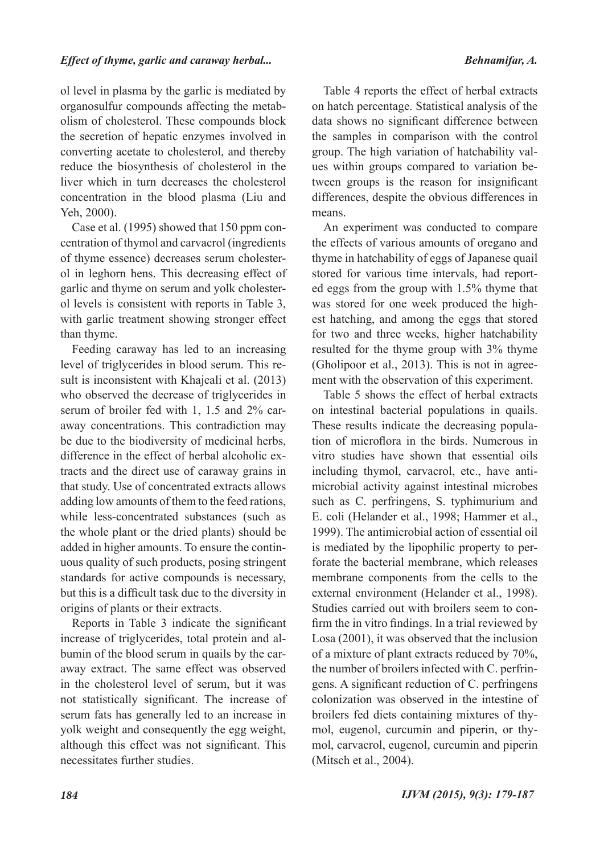ol level in plasma by the garlic is mediated by organosulfur compounds affecting the metabolism of cholesterol. These compounds block the secretion of hepatic enzymes involved in converting acetate to cholesterol, and thereby reduce the biosynthesis of cholesterol in the liver which in turn decreases the cholesterol concentration in the blood plasma (Liu and Yeh, 2000).

Case et al. (1995) showed that 150 ppm concentration of thymol and carvacrol (ingredients of thyme essence) decreases serum cholesterol in leghorn hens. This decreasing effect of garlic and thyme on serum and yolk cholesterol levels is consistent with reports in Table 3, with garlic treatment showing stronger effect than thyme.

Feeding caraway has led to an increasing level of triglycerides in blood serum. This result is inconsistent with Khajeali et al. (2013) who observed the decrease of triglycerides in serum of broiler fed with 1, 1.5 and 2% caraway concentrations. This contradiction may be due to the biodiversity of medicinal herbs, difference in the effect of herbal alcoholic extracts and the direct use of caraway grains in that study. Use of concentrated extracts allows adding low amounts of them to the feed rations, while less-concentrated substances (such as the whole plant or the dried plants) should be added in higher amounts. To ensure the continuous quality of such products, posing stringent standards for active compounds is necessary, but this is a difficult task due to the diversity in origins of plants or their extracts.

Reports in Table 3 indicate the significant increase of triglycerides, total protein and albumin of the blood serum in quails by the caraway extract. The same effect was observed in the cholesterol level of serum, but it was not statistically significant. The increase of serum fats has generally led to an increase in yolk weight and consequently the egg weight, although this effect was not significant. This necessitates further studies.

Table 4 reports the effect of herbal extracts on hatch percentage. Statistical analysis of the data shows no significant difference between the samples in comparison with the control group. The high variation of hatchability values within groups compared to variation between groups is the reason for insignificant differences, despite the obvious differences in means.

An experiment was conducted to compare the effects of various amounts of oregano and thyme in hatchability of eggs of Japanese quail stored for various time intervals, had reported eggs from the group with 1.5% thyme that was stored for one week produced the highest hatching, and among the eggs that stored for two and three weeks, higher hatchability resulted for the thyme group with 3% thyme (Gholipoor et al., 2013). This is not in agreement with the observation of this experiment.

Table 5 shows the effect of herbal extracts on intestinal bacterial populations in quails. These results indicate the decreasing population of microflora in the birds. Numerous in vitro studies have shown that essential oils including thymol, carvacrol, etc., have antimicrobial activity against intestinal microbes such as C. perfringens, S. typhimurium and E. coli (Helander et al., 1998; Hammer et al., 1999). The antimicrobial action of essential oil is mediated by the lipophilic property to perforate the bacterial membrane, which releases membrane components from the cells to the external environment (Helander et al., 1998). Studies carried out with broilers seem to confirm the in vitro findings. In a trial reviewed by Losa (2001), it was observed that the inclusion of a mixture of plant extracts reduced by 70%, the number of broilers infected with C. perfringens. A significant reduction of C. perfringens colonization was observed in the intestine of broilers fed diets containing mixtures of thymol, eugenol, curcumin and piperin, or thymol, carvacrol, eugenol, curcumin and piperin (Mitsch et al., 2004).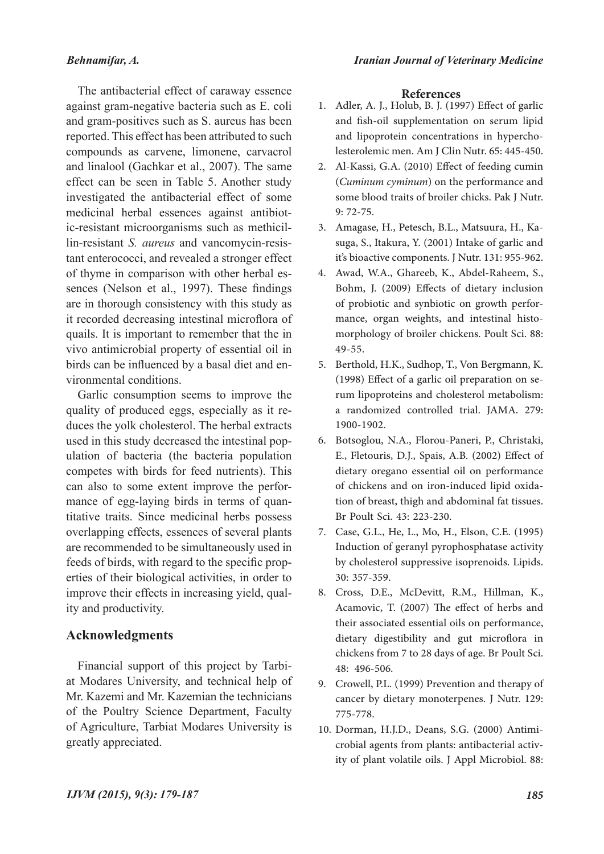# *Behnamifar, A.*

The antibacterial effect of caraway essence against gram-negative bacteria such as E. coli and gram-positives such as S. aureus has been reported. This effect has been attributed to such compounds as carvene, limonene, carvacrol and linalool (Gachkar et al., 2007). The same effect can be seen in Table 5. Another study investigated the antibacterial effect of some medicinal herbal essences against antibiotic-resistant microorganisms such as methicillin-resistant *S. aureus* and vancomycin-resistant enterococci, and revealed a stronger effect of thyme in comparison with other herbal essences (Nelson et al., 1997). These findings are in thorough consistency with this study as it recorded decreasing intestinal microflora of quails. It is important to remember that the in vivo antimicrobial property of essential oil in birds can be influenced by a basal diet and environmental conditions.

Garlic consumption seems to improve the quality of produced eggs, especially as it reduces the yolk cholesterol. The herbal extracts used in this study decreased the intestinal population of bacteria (the bacteria population competes with birds for feed nutrients). This can also to some extent improve the performance of egg-laying birds in terms of quantitative traits. Since medicinal herbs possess overlapping effects, essences of several plants are recommended to be simultaneously used in feeds of birds, with regard to the specific properties of their biological activities, in order to improve their effects in increasing yield, quality and productivity.

## **Acknowledgments**

Financial support of this project by Tarbiat Modares University, and technical help of Mr. Kazemi and Mr. Kazemian the technicians of the Poultry Science Department, Faculty of Agriculture, Tarbiat Modares University is greatly appreciated.

## **References**

- Adler, A. J., Holub, B. J. (1997) Effect of garlic 1. and fish-oil supplementation on serum lipid and lipoprotein concentrations in hypercho- lesterolemic men. Am J Clin Nutr. 65: 445-450.
- Al-Kassi, G.A. (2010) Effect of feeding cumin 2. (*Cuminum cyminum*) on the performance and some blood traits of broiler chicks. Pak J Nutr. 9: 72-75.
- suga, S., Itakura, Y. (2001) Intake of garlic and it's bioactive components. J Nutr. 131: 955-962. 3. Amagase, H., Petesch, B.L., Matsuura, H., Ka-
- Awad, W.A., Ghareeb, K., Abdel-Raheem, S., 4. Bohm, J. (2009) Effects of dietary inclusion of probiotic and synbiotic on growth performance, organ weights, and intestinal histomorphology of broiler chickens. Poult Sci. 88: 49-55.
- Berthold, H.K., Sudhop, T., Von Bergmann, K. 5. (1998) Effect of a garlic oil preparation on se- rum lipoproteins and cholesterol metabolism: a randomized controlled trial. JAMA. 279: 1900-1902.
- 6. Botsoglou, N.A., Florou-Paneri, P., Christaki, E., Fletouris, D.J., Spais, A.B. (2002) Effect of dietary oregano essential oil on performance<br>of chickens and on iron-induced lipid oxidation of breast, thigh and abdominal fat tissues. Br Poult Sci. 43: 223-230.
- Case, G.L., He, L., Mo, H., Elson, C.E. (1995) 7. Induction of geranyl pyrophosphatase activity by cholesterol suppressive isoprenoids. Lipids. 30: 357-359.
- 8. Cross, D.E., McDevitt, R.M., Hillman, K., Acamovic, T. (2007) The effect of herbs and their associated essential oils on performance, dietary digestibility and gut microflora in chickens from 7 to 28 days of age. Br Poult Sci. 48: 496-506.
- 9. Crowell, P.L. (1999) Prevention and therapy of cancer by dietary monoterpenes. J Nutr. 129: 775-778.
- Dorman, H.J.D., Deans, S.G. (2000) Antimi-10. crobial agents from plants: antibacterial activity of plant volatile oils. J Appl Microbiol. 88: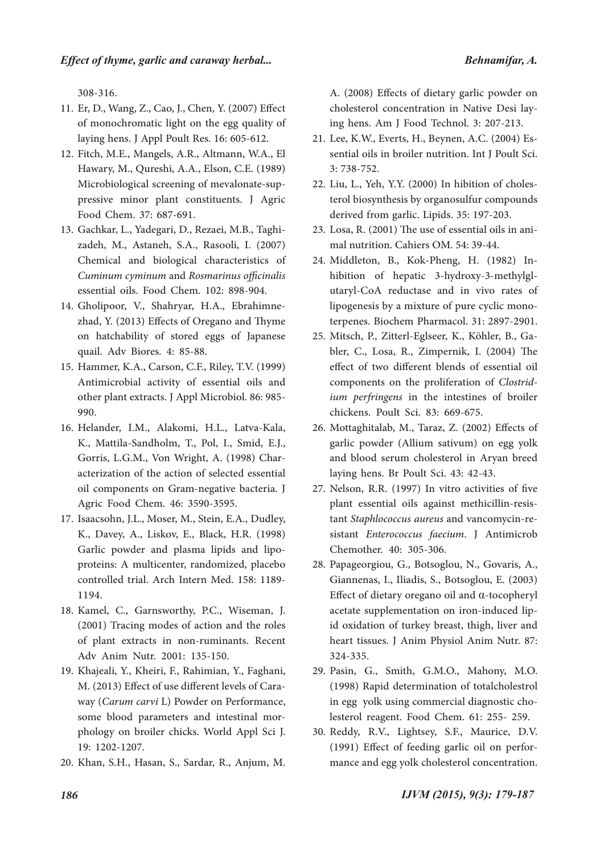308-316.

- Er, D., Wang, Z., Cao, J., Chen, Y. (2007) Effect 11. of monochromatic light on the egg quality of laying hens. J Appl Poult Res. 16: 605-612.
- Fitch, M.E., Mangels, A.R., Altmann, W.A., El 12. Hawary, M., Qureshi, A.A., Elson, C.E. (1989) Microbiological screening of mevalonate-sup-<br>pressive minor plant constituents. J Agric Food Chem. 37: 687-691.
- zadeh, M., Astaneh, S.A., Rasooli, I. (2007) Chemical and biological characteristics of *Cuminum cyminum* and *Rosmarinus officinalis* essential oils. Food Chem. 102: 898-904. 13. Gachkar, L., Yadegari, D., Rezaei, M.B., Taghi-
- Gholipoor, V., Shahryar, H.A., Ebrahimne- zhad, Y. (2013) Effects of Oregano and Thyme 14. on hatchability of stored eggs of Japanese quail. Adv Biores. 4: 85-88.
- 15. Hammer, K.A., Carson, C.F., Riley, T.V. (1999) Antimicrobial activity of essential oils and other plant extracts. J Appl Microbiol. 86: 985- 990.
- 16. Helander, I.M., Alakomi, H.L., Latva-Kala, K., Mattila-Sandholm, T., Pol, I., Smid, E.J., Gorris, L.G.M., Von Wright, A. (1998) Char-<br>acterization of the action of selected essential oil components on Gram-negative bacteria. J Agric Food Chem. 46: 3590-3595.
- 17. Isaacsohn, J.L., Moser, M., Stein, E.A., Dudley, K., Davey, A., Liskov, E., Black, H.R. (1998) Garlic powder and plasma lipids and lipo- proteins: A multicenter, randomized, placebo controlled trial. Arch Intern Med. 158: 1189- 1194.
- 18. Kamel, C., Garnsworthy, P.C., Wiseman, J. (2001) Tracing modes of action and the roles of plant extracts in non-ruminants. Recent Adv Anim Nutr. 2001: 135-150.
- 19. Khajeali, Y., Kheiri, F., Rahimian, Y., Faghani, M. (2013) Effect of use different levels of Cara- way (*Carum carvi* L) Powder on Performance, some blood parameters and intestinal mor- phology on broiler chicks. World Appl Sci J. 19: 1202-1207.
- 20. Khan, S.H., Hasan, S., Sardar, R., Anjum, M.

A. (2008) Effects of dietary garlic powder on cholesterol concentration in Native Desi lay- ing hens. Am J Food Technol. 3: 207-213.

- Lee, K.W., Everts, H., Beynen, A.C. (2004) Es- sential oils in broiler nutrition. Int J Poult Sci. 21. 3: 738-752.
- terol biosynthesis by organosulfur compounds derived from garlic. Lipids. 35: 197-203. 22. Liu, L., Yeh, Y.Y. (2000) In hibition of choles-
- Losa, R. (2001) The use of essential oils in ani- mal nutrition. Cahiers OM. 54: 39-44. 23.
- Middleton, B., Kok-Pheng, H. (1982) In- hibition of hepatic 3-hydroxy-3-methylgl- utaryl-CoA reductase and in vivo rates of 24. lipogenesis by a mixture of pure cyclic mono- terpenes. Biochem Pharmacol. 31: 2897-2901.
- bler, C., Losa, R., Zimpernik, I. (2004) The effect of two different blends of essential oil components on the proliferation of *Clostrid� ium perfringens* in the intestines of broiler chickens. Poult Sci. 83: 669-675. 25. Mitsch, P., Zitterl-Eglseer, K., Köhler, B., Ga-
- 26. Mottaghitalab, M., Taraz, Z. (2002) Effects of garlic powder (Allium sativum) on egg yolk and blood serum cholesterol in Aryan breed laying hens. Br Poult Sci. 43: 42-43.
- 27. Nelson, R.R. (1997) In vitro activities of five plant essential oils against methicillin-resis- tant *Staphlococcus aureus* and vancomycin-re- sistant *Enterococcus faecium*. J Antimicrob Chemother. 40: 305-306.
- 28. Papageorgiou, G., Botsoglou, N., Govaris, A., Giannenas, I., Iliadis, S., Botsoglou, E. (2003) Effect of dietary oregano oil and α‐tocopheryl acetate supplementation on iron‐induced lip- id oxidation of turkey breast, thigh, liver and heart tissues. J Anim Physiol Anim Nutr. 87: 324-335.
- Pasin, G., Smith, G.M.O., Mahony, M.O. 29. (1998) Rapid determination of totalcholestrol in egg yolk using commercial diagnostic cholesterol reagent. Food Chem. 61: 255- 259.
- 30. Reddy, R.V., Lightsey, S.F., Maurice, D.V. (1991) Effect of feeding garlic oil on perfor- mance and egg yolk cholesterol concentration.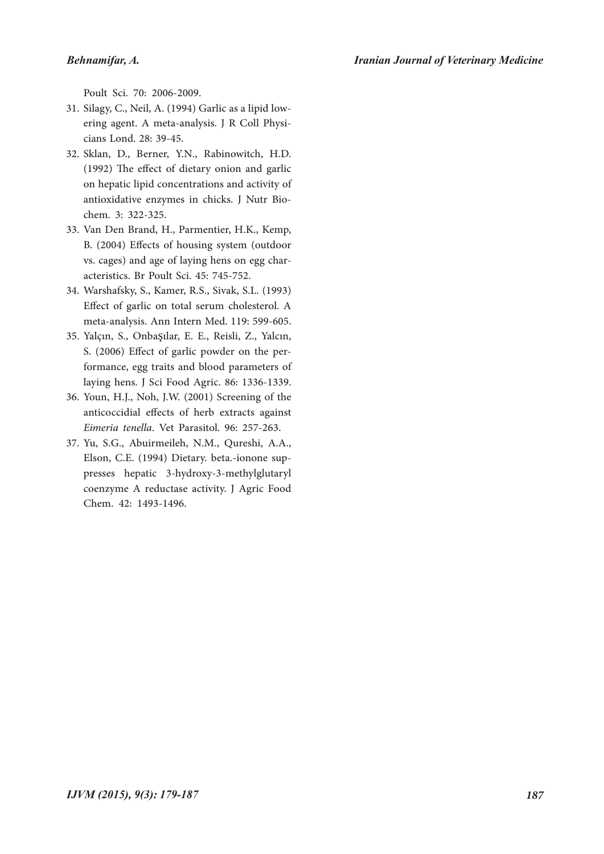Poult Sci. 70: 2006-2009.

- ering agent. A meta-analysis. J R Coll Physicians Lond. 28: 39-45. 31. Silagy, C., Neil, A. (1994) Garlic as a lipid low-
- Sklan, D., Berner, Y.N., Rabinowitch, H.D. 32. (1992) The effect of dietary onion and garlic on hepatic lipid concentrations and activity of antioxidative enzymes in chicks. J Nutr Bio- chem. 3: 322-325.
- 33. Van Den Brand, H., Parmentier, H.K., Kemp, B. (2004) Effects of housing system (outdoor vs. cages) and age of laying hens on egg char- acteristics. Br Poult Sci. 45: 745-752.
- Warshafsky, S., Kamer, R.S., Sivak, S.L. (1993) 34. Effect of garlic on total serum cholesterol. A meta-analysis. Ann Intern Med. 119: 599-605.
- Yalçın, S., Onbaşılar, E. E., Reisli, Z., Yalcın, 35. S. (2006) Effect of garlic powder on the per- formance, egg traits and blood parameters of laying hens. J Sci Food Agric. 86: 1336-1339.
- 36. Youn, H.J., Noh, J.W. (2001) Screening of the anticoccidial effects of herb extracts against *Eimeria tenella*. Vet Parasitol. 96: 257-263.
- Yu, S.G., Abuirmeileh, N.M., Qureshi, A.A., 37. Elson, C.E. (1994) Dietary. beta.-ionone sup- presses hepatic 3-hydroxy-3-methylglutaryl coenzyme A reductase activity. J Agric Food Chem. 42: 1493-1496.